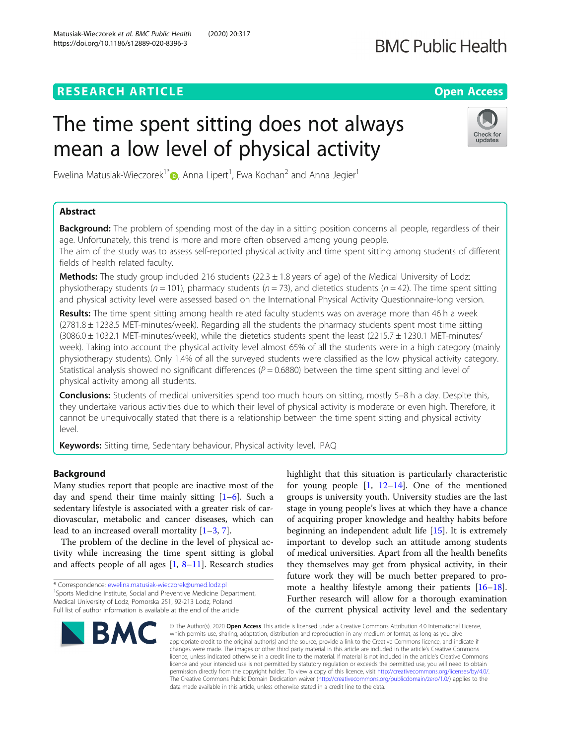## **BMC Public Health**

### **RESEARCH ARTICLE Example 2014 12:30 The Open Access**

# The time spent sitting does not always mean a low level of physical activity



Ewelina Matusiak-Wieczorek $^{1^*}\text{\small{\textsf{O}}}$  $^{1^*}\text{\small{\textsf{O}}}$  $^{1^*}\text{\small{\textsf{O}}}$ , Anna Lipert $^1$ , Ewa Kochan $^2$  and Anna Jegier $^1$ 

### Abstract

**Background:** The problem of spending most of the day in a sitting position concerns all people, regardless of their age. Unfortunately, this trend is more and more often observed among young people.

The aim of the study was to assess self-reported physical activity and time spent sitting among students of different fields of health related faculty.

Methods: The study group included 216 students (22.3 ± 1.8 years of age) of the Medical University of Lodz: physiotherapy students ( $n = 101$ ), pharmacy students ( $n = 73$ ), and dietetics students ( $n = 42$ ). The time spent sitting and physical activity level were assessed based on the International Physical Activity Questionnaire-long version.

Results: The time spent sitting among health related faculty students was on average more than 46 h a week (2781.8 ± 1238.5 MET-minutes/week). Regarding all the students the pharmacy students spent most time sitting  $(3086.0 \pm 1032.1$  MET-minutes/week), while the dietetics students spent the least  $(2215.7 \pm 1230.1$  MET-minutes/ week). Taking into account the physical activity level almost 65% of all the students were in a high category (mainly physiotherapy students). Only 1.4% of all the surveyed students were classified as the low physical activity category. Statistical analysis showed no significant differences ( $P = 0.6880$ ) between the time spent sitting and level of physical activity among all students.

Conclusions: Students of medical universities spend too much hours on sitting, mostly 5-8 h a day. Despite this, they undertake various activities due to which their level of physical activity is moderate or even high. Therefore, it cannot be unequivocally stated that there is a relationship between the time spent sitting and physical activity level.

Keywords: Sitting time, Sedentary behaviour, Physical activity level, IPAQ

### **Background**

Many studies report that people are inactive most of the day and spend their time mainly sitting  $[1-6]$  $[1-6]$  $[1-6]$  $[1-6]$  $[1-6]$ . Such a sedentary lifestyle is associated with a greater risk of cardiovascular, metabolic and cancer diseases, which can lead to an increased overall mortality [[1](#page-4-0)–[3,](#page-4-0) [7\]](#page-4-0).

The problem of the decline in the level of physical activity while increasing the time spent sitting is global and affects people of all ages [[1,](#page-4-0) [8](#page-4-0)–[11\]](#page-4-0). Research studies

\* Correspondence: [ewelina.matusiak-wieczorek@umed.lodz.pl](mailto:ewelina.matusiak-wieczorek@umed.lodz.pl) <sup>1</sup> <sup>1</sup>Sports Medicine Institute, Social and Preventive Medicine Department, Medical University of Lodz, Pomorska 251, 92-213 Lodz, Poland Full list of author information is available at the end of the article



highlight that this situation is particularly characteristic for young people  $[1, 12-14]$  $[1, 12-14]$  $[1, 12-14]$  $[1, 12-14]$  $[1, 12-14]$ . One of the mentioned groups is university youth. University studies are the last stage in young people's lives at which they have a chance of acquiring proper knowledge and healthy habits before beginning an independent adult life [[15\]](#page-4-0). It is extremely important to develop such an attitude among students of medical universities. Apart from all the health benefits they themselves may get from physical activity, in their future work they will be much better prepared to pro-mote a healthy lifestyle among their patients [[16](#page-4-0)–[18](#page-4-0)]. Further research will allow for a thorough examination of the current physical activity level and the sedentary

© The Author(s), 2020 **Open Access** This article is licensed under a Creative Commons Attribution 4.0 International License, which permits use, sharing, adaptation, distribution and reproduction in any medium or format, as long as you give appropriate credit to the original author(s) and the source, provide a link to the Creative Commons licence, and indicate if changes were made. The images or other third party material in this article are included in the article's Creative Commons licence, unless indicated otherwise in a credit line to the material. If material is not included in the article's Creative Commons licence and your intended use is not permitted by statutory regulation or exceeds the permitted use, you will need to obtain permission directly from the copyright holder. To view a copy of this licence, visit [http://creativecommons.org/licenses/by/4.0/.](http://creativecommons.org/licenses/by/4.0/) The Creative Commons Public Domain Dedication waiver [\(http://creativecommons.org/publicdomain/zero/1.0/](http://creativecommons.org/publicdomain/zero/1.0/)) applies to the data made available in this article, unless otherwise stated in a credit line to the data.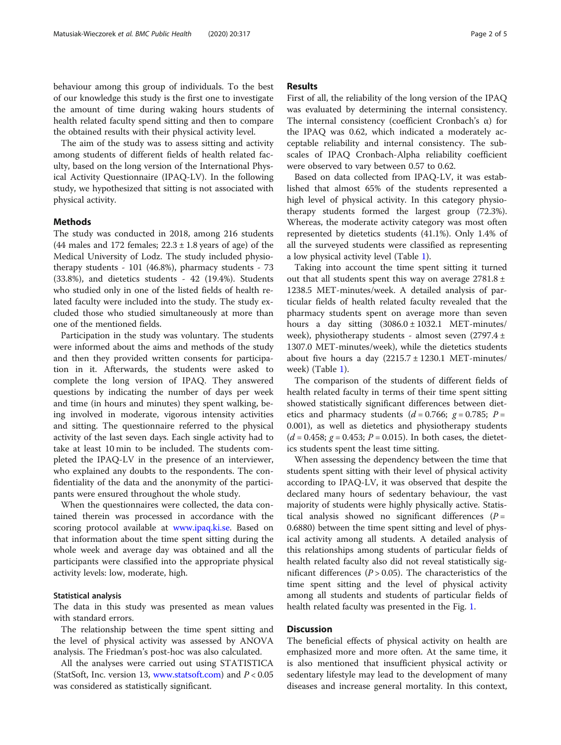behaviour among this group of individuals. To the best of our knowledge this study is the first one to investigate the amount of time during waking hours students of health related faculty spend sitting and then to compare the obtained results with their physical activity level.

The aim of the study was to assess sitting and activity among students of different fields of health related faculty, based on the long version of the International Physical Activity Questionnaire (IPAQ-LV). In the following study, we hypothesized that sitting is not associated with physical activity.

#### **Methods**

The study was conducted in 2018, among 216 students (44 males and 172 females;  $22.3 \pm 1.8$  years of age) of the Medical University of Lodz. The study included physiotherapy students - 101 (46.8%), pharmacy students - 73 (33.8%), and dietetics students - 42 (19.4%). Students who studied only in one of the listed fields of health related faculty were included into the study. The study excluded those who studied simultaneously at more than one of the mentioned fields.

Participation in the study was voluntary. The students were informed about the aims and methods of the study and then they provided written consents for participation in it. Afterwards, the students were asked to complete the long version of IPAQ. They answered questions by indicating the number of days per week and time (in hours and minutes) they spent walking, being involved in moderate, vigorous intensity activities and sitting. The questionnaire referred to the physical activity of the last seven days. Each single activity had to take at least 10 min to be included. The students completed the IPAQ-LV in the presence of an interviewer, who explained any doubts to the respondents. The confidentiality of the data and the anonymity of the participants were ensured throughout the whole study.

When the questionnaires were collected, the data contained therein was processed in accordance with the scoring protocol available at [www.ipaq.ki.se.](http://www.ipaq.ki.se) Based on that information about the time spent sitting during the whole week and average day was obtained and all the participants were classified into the appropriate physical activity levels: low, moderate, high.

#### Statistical analysis

The data in this study was presented as mean values with standard errors.

The relationship between the time spent sitting and the level of physical activity was assessed by ANOVA analysis. The Friedman's post-hoc was also calculated.

All the analyses were carried out using STATISTICA (StatSoft, Inc. version 13, [www.statsoft.com\)](http://www.statsoft.com) and  $P < 0.05$ was considered as statistically significant.

#### Results

First of all, the reliability of the long version of the IPAQ was evaluated by determining the internal consistency. The internal consistency (coefficient Cronbach's α) for the IPAQ was 0.62, which indicated a moderately acceptable reliability and internal consistency. The subscales of IPAQ Cronbach-Alpha reliability coefficient were observed to vary between 0.57 to 0.62.

Based on data collected from IPAQ-LV, it was established that almost 65% of the students represented a high level of physical activity. In this category physiotherapy students formed the largest group (72.3%). Whereas, the moderate activity category was most often represented by dietetics students (41.1%). Only 1.4% of all the surveyed students were classified as representing a low physical activity level (Table [1\)](#page-2-0).

Taking into account the time spent sitting it turned out that all students spent this way on average  $2781.8 \pm$ 1238.5 MET-minutes/week. A detailed analysis of particular fields of health related faculty revealed that the pharmacy students spent on average more than seven hours a day sitting  $(3086.0 \pm 1032.1 \text{ MET-minutes/})$ week), physiotherapy students - almost seven  $(2797.4 \pm$ 1307.0 MET-minutes/week), while the dietetics students about five hours a day  $(2215.7 \pm 1230.1 \text{ MET-minutes})$ week) (Table [1](#page-2-0)).

The comparison of the students of different fields of health related faculty in terms of their time spent sitting showed statistically significant differences between dietetics and pharmacy students ( $d = 0.766$ ;  $g = 0.785$ ; P = 0.001), as well as dietetics and physiotherapy students  $(d = 0.458; g = 0.453; P = 0.015)$ . In both cases, the dietetics students spent the least time sitting.

When assessing the dependency between the time that students spent sitting with their level of physical activity according to IPAQ-LV, it was observed that despite the declared many hours of sedentary behaviour, the vast majority of students were highly physically active. Statistical analysis showed no significant differences  $(P =$ 0.6880) between the time spent sitting and level of physical activity among all students. A detailed analysis of this relationships among students of particular fields of health related faculty also did not reveal statistically significant differences  $(P > 0.05)$ . The characteristics of the time spent sitting and the level of physical activity among all students and students of particular fields of health related faculty was presented in the Fig. [1](#page-2-0).

#### Discussion

The beneficial effects of physical activity on health are emphasized more and more often. At the same time, it is also mentioned that insufficient physical activity or sedentary lifestyle may lead to the development of many diseases and increase general mortality. In this context,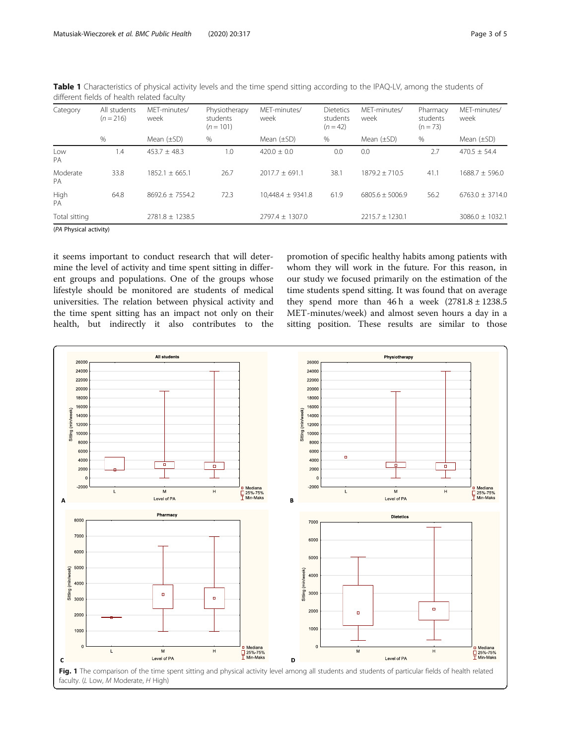| Category          | All students<br>$(n = 216)$ | MET-minutes/<br>week | Physiotherapy<br>students<br>$(n = 101)$ | MET-minutes/<br>week  | <b>Dietetics</b><br>students<br>$(n = 42)$ | MFT-minutes/<br>week | Pharmacy<br>students<br>$(n = 73)$ | MET-minutes/<br>week |
|-------------------|-----------------------------|----------------------|------------------------------------------|-----------------------|--------------------------------------------|----------------------|------------------------------------|----------------------|
|                   | %                           | Mean $(\pm SD)$      | %                                        | Mean $(\pm SD)$       | %                                          | Mean $(\pm SD)$      | $\%$                               | Mean $(\pm SD)$      |
| Low<br>PA         | 1.4                         | $453.7 + 48.3$       | 0.1                                      | $420.0 + 0.0$         | 0.0                                        | 0.0                  | 2.7                                | $470.5 + 54.4$       |
| Moderate<br>PA    | 33.8                        | $1852.1 + 665.1$     | 26.7                                     | $2017.7 + 691.1$      | 38.1                                       | $1879.2 + 710.5$     | 41.1                               | $1688.7 \pm 596.0$   |
| High<br><b>PA</b> | 64.8                        | $8692.6 + 7554.2$    | 72.3                                     | $10,448.4 \pm 9341.8$ | 61.9                                       | $6805.6 + 5006.9$    | 56.2                               | $6763.0 + 3714.0$    |
| Total sitting     |                             | $2781.8 \pm 1238.5$  |                                          | $2797.4 \pm 1307.0$   |                                            | $2215.7 \pm 1230.1$  |                                    | $3086.0 \pm 1032.1$  |

<span id="page-2-0"></span>Table 1 Characteristics of physical activity levels and the time spend sitting according to the IPAQ-LV, among the students of different fields of health related faculty

(PA Physical activity)

it seems important to conduct research that will determine the level of activity and time spent sitting in different groups and populations. One of the groups whose lifestyle should be monitored are students of medical universities. The relation between physical activity and the time spent sitting has an impact not only on their health, but indirectly it also contributes to the promotion of specific healthy habits among patients with whom they will work in the future. For this reason, in our study we focused primarily on the estimation of the time students spend sitting. It was found that on average they spend more than  $46 h$  a week  $(2781.8 \pm 1238.5$ MET-minutes/week) and almost seven hours a day in a sitting position. These results are similar to those

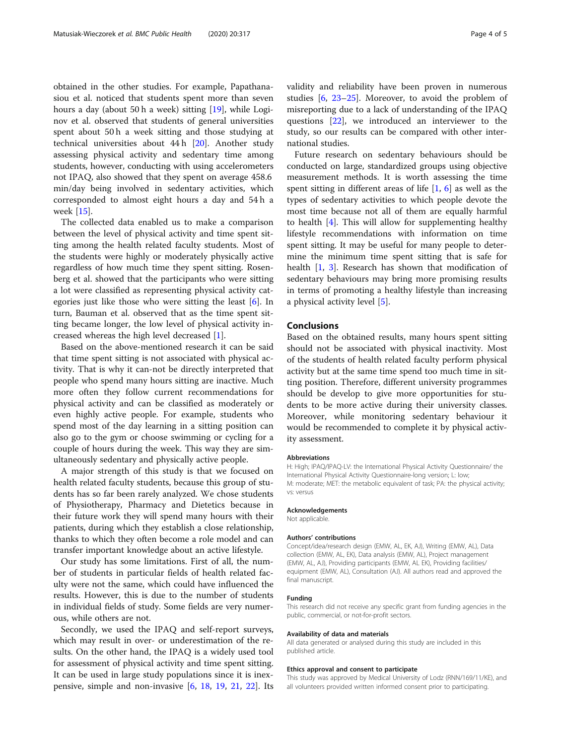obtained in the other studies. For example, Papathanasiou et al. noticed that students spent more than seven hours a day (about 50 h a week) sitting [\[19](#page-4-0)], while Loginov et al. observed that students of general universities spent about 50 h a week sitting and those studying at technical universities about 44 h [\[20](#page-4-0)]. Another study assessing physical activity and sedentary time among students, however, conducting with using accelerometers not IPAQ, also showed that they spent on average 458.6 min/day being involved in sedentary activities, which corresponded to almost eight hours a day and 54 h a week [\[15](#page-4-0)].

The collected data enabled us to make a comparison between the level of physical activity and time spent sitting among the health related faculty students. Most of the students were highly or moderately physically active regardless of how much time they spent sitting. Rosenberg et al. showed that the participants who were sitting a lot were classified as representing physical activity categories just like those who were sitting the least [[6\]](#page-4-0). In turn, Bauman et al. observed that as the time spent sitting became longer, the low level of physical activity increased whereas the high level decreased [[1\]](#page-4-0).

Based on the above-mentioned research it can be said that time spent sitting is not associated with physical activity. That is why it can-not be directly interpreted that people who spend many hours sitting are inactive. Much more often they follow current recommendations for physical activity and can be classified as moderately or even highly active people. For example, students who spend most of the day learning in a sitting position can also go to the gym or choose swimming or cycling for a couple of hours during the week. This way they are simultaneously sedentary and physically active people.

A major strength of this study is that we focused on health related faculty students, because this group of students has so far been rarely analyzed. We chose students of Physiotherapy, Pharmacy and Dietetics because in their future work they will spend many hours with their patients, during which they establish a close relationship, thanks to which they often become a role model and can transfer important knowledge about an active lifestyle.

Our study has some limitations. First of all, the number of students in particular fields of health related faculty were not the same, which could have influenced the results. However, this is due to the number of students in individual fields of study. Some fields are very numerous, while others are not.

Secondly, we used the IPAQ and self-report surveys, which may result in over- or underestimation of the results. On the other hand, the IPAQ is a widely used tool for assessment of physical activity and time spent sitting. It can be used in large study populations since it is inexpensive, simple and non-invasive  $[6, 18, 19, 21, 22]$  $[6, 18, 19, 21, 22]$  $[6, 18, 19, 21, 22]$  $[6, 18, 19, 21, 22]$  $[6, 18, 19, 21, 22]$  $[6, 18, 19, 21, 22]$  $[6, 18, 19, 21, 22]$  $[6, 18, 19, 21, 22]$  $[6, 18, 19, 21, 22]$  $[6, 18, 19, 21, 22]$ . Its validity and reliability have been proven in numerous studies [[6,](#page-4-0) [23](#page-4-0)–[25](#page-4-0)]. Moreover, to avoid the problem of misreporting due to a lack of understanding of the IPAQ questions [\[22\]](#page-4-0), we introduced an interviewer to the study, so our results can be compared with other international studies.

Future research on sedentary behaviours should be conducted on large, standardized groups using objective measurement methods. It is worth assessing the time spent sitting in different areas of life  $[1, 6]$  $[1, 6]$  $[1, 6]$  $[1, 6]$  as well as the types of sedentary activities to which people devote the most time because not all of them are equally harmful to health  $[4]$  $[4]$ . This will allow for supplementing healthy lifestyle recommendations with information on time spent sitting. It may be useful for many people to determine the minimum time spent sitting that is safe for health [[1](#page-4-0), [3](#page-4-0)]. Research has shown that modification of sedentary behaviours may bring more promising results in terms of promoting a healthy lifestyle than increasing a physical activity level [\[5](#page-4-0)].

#### Conclusions

Based on the obtained results, many hours spent sitting should not be associated with physical inactivity. Most of the students of health related faculty perform physical activity but at the same time spend too much time in sitting position. Therefore, different university programmes should be develop to give more opportunities for students to be more active during their university classes. Moreover, while monitoring sedentary behaviour it would be recommended to complete it by physical activity assessment.

#### Abbreviations

H: High; IPAQ/IPAQ-LV: the International Physical Activity Questionnaire/ the International Physical Activity Questionnaire-long version; L: low; M: moderate; MET: the metabolic equivalent of task; PA: the physical activity; vs: versus

#### Acknowledgements

Not applicable.

#### Authors' contributions

Concept/idea/research design (EMW, AL, EK, AJ), Writing (EMW, AL), Data collection (EMW, AL, EK), Data analysis (EMW, AL), Project management (EMW, AL, AJ), Providing participants (EMW, AL EK), Providing facilities/ equipment (EMW, AL), Consultation (AJ). All authors read and approved the final manuscript.

#### Funding

This research did not receive any specific grant from funding agencies in the public, commercial, or not-for-profit sectors.

#### Availability of data and materials

All data generated or analysed during this study are included in this published article.

#### Ethics approval and consent to participate

This study was approved by Medical University of Lodz (RNN/169/11/KE), and all volunteers provided written informed consent prior to participating.